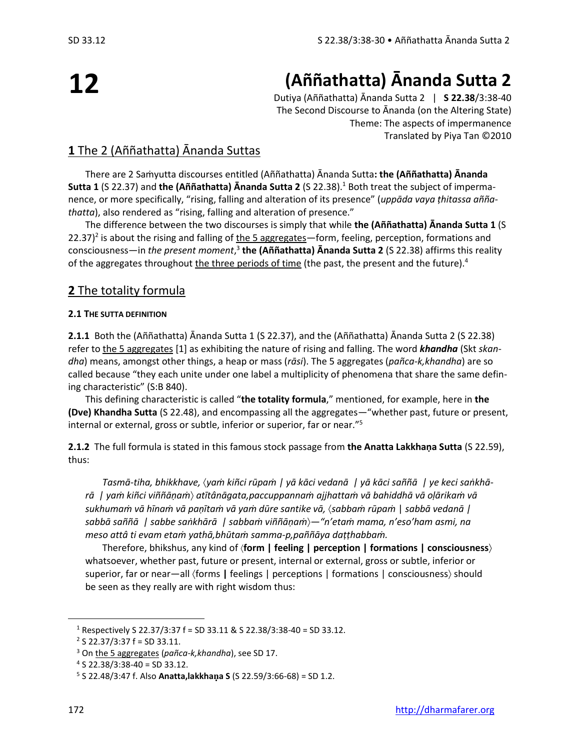# **12**

## **(Aññathatta) Ānanda Sutta 2**

Dutiya (Aññathatta) Ānanda Sutta 2 | **S 22.38**/3:38-40 The Second Discourse to Ānanda (on the Altering State) Theme: The aspects of impermanence Translated by Piya Tan ©2010

#### **1** The 2 (Aññathatta) Ānanda Suttas

There are 2 Saṁyutta discourses entitled (Aññathatta) Ānanda Sutta**: the (Aññathatta) Ānanda Sutta 1** (S 22.37) and **the (Aññathatta) Ānanda Sutta 2** (S 22.38).<sup>1</sup> Both treat the subject of impermanence, or more specifically, "rising, falling and alteration of its presence" (*uppāda vaya ṭhitassa aññathatta*), also rendered as "rising, falling and alteration of presence."

The difference between the two discourses is simply that while **the (Aññathatta) Ānanda Sutta 1** (S 22.37)<sup>2</sup> is about the rising and falling of the 5 aggregates—form, feeling, perception, formations and consciousness—in *the present moment*, 3 **the (Aññathatta) Ānanda Sutta 2** (S 22.38) affirms this reality of the aggregates throughout the three periods of time (the past, the present and the future).<sup>4</sup>

#### **2** The totality formula

#### **2.1 THE SUTTA DEFINITION**

**2.1.1** Both the (Aññathatta) Ānanda Sutta 1 (S 22.37), and the (Aññathatta) Ānanda Sutta 2 (S 22.38) refer to the 5 aggregates [1] as exhibiting the nature of rising and falling. The word *khandha* (Skt *skandha*) means, amongst other things, a heap or mass (*rāsi*). The 5 aggregates (*pañca-k,khandha*) are so called because "they each unite under one label a multiplicity of phenomena that share the same defining characteristic" (S:B 840).

This defining characteristic is called "**the totality formula**," mentioned, for example, here in **the (Dve) Khandha Sutta** (S 22.48), and encompassing all the aggregates—"whether past, future or present, internal or external, gross or subtle, inferior or superior, far or near."<sup>5</sup>

**2.1.2** The full formula is stated in this famous stock passage from **the Anatta Lakkhaṇa Sutta** (S 22.59), thus:

*Tasmā-tiha, bhikkhave, yaṁ kiñci rūpaṁ | yā kāci vedanā | yā kāci saññā | ye keci saṅkhārā | yaṁ kiñci viññāṇaṁ atītânāgata,paccuppannaṁ ajjhattaṁ vā bahiddhā vā oḷārikaṁ vā sukhumaṁ vā hīnaṁ vā paṇītaṁ vā yaṁ dūre santike vā, sabbaṁ rūpaṁ* | *sabbā vedanā | sabbā saññā | sabbe saṅkhārā | sabbaṁ viññāṇaṁ—"n'etaṁ mama, n'eso'ham asmi, na meso attâ ti evam etaṁ yathā,bhūtaṁ samma-p,paññāya daṭṭhabbaṁ.*

Therefore, bhikshus, any kind of **form | feeling | perception | formations | consciousness** whatsoever, whether past, future or present, internal or external, gross or subtle, inferior or superior, far or near—all (forms | feelings | perceptions | formations | consciousness) should be seen as they really are with right wisdom thus:

<sup>&</sup>lt;sup>1</sup> Respectively S 22.37/3:37 f = SD 33.11 & S 22.38/3:38-40 = SD 33.12.

 $2$  S 22.37/3:37 f = SD 33.11.

<sup>3</sup> On the 5 aggregates (*pañca-k,khandha*), see SD 17.

 $4$  S 22.38/3:38-40 = SD 33.12.

<sup>5</sup> S 22.48/3:47 f. Also **Anatta,lakkhaa S** (S 22.59/3:66-68) = SD 1.2.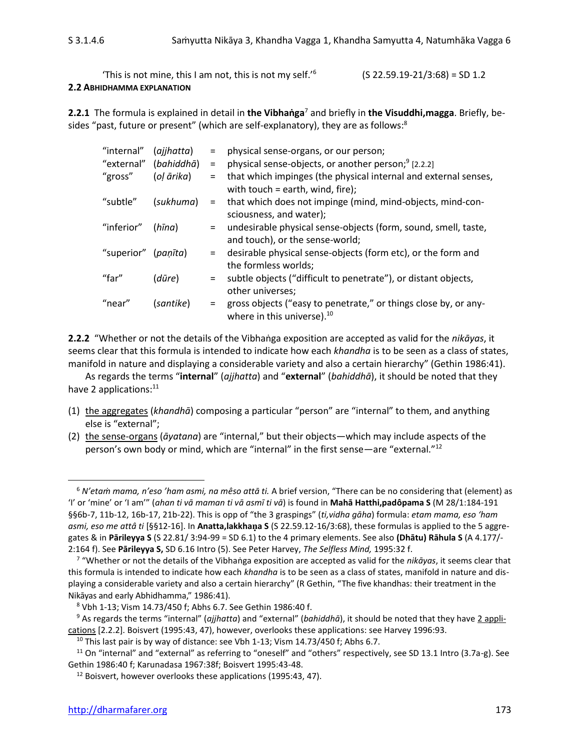'This is not mine, this I am not, this is not my self.'<sup>6</sup> **2.2 ABHIDHAMMA EXPLANATION**

 $(S 22.59.19-21/3:68) = SD 1.2$ 

**2.2.1** The formula is explained in detail in **the Vibhaṅga**<sup>7</sup> and briefly in **the Visuddhi,magga**. Briefly, besides "past, future or present" (which are self-explanatory), they are as follows:<sup>8</sup>

| "internal" | (ajjhatta) | $=$      | physical sense-organs, or our person;                                                                     |
|------------|------------|----------|-----------------------------------------------------------------------------------------------------------|
| "external" | (bahiddhā) | $\equiv$ | physical sense-objects, or another person; <sup>9</sup> [2.2.2]                                           |
| "gross"    | (ol ārika) | $=$      | that which impinges (the physical internal and external senses,<br>with touch = earth, wind, fire);       |
| "subtle"   | (sukhuma)  | $=$      | that which does not impinge (mind, mind-objects, mind-con-<br>sciousness, and water);                     |
| "inferior" | (hīna)     |          | undesirable physical sense-objects (form, sound, smell, taste,<br>and touch), or the sense-world;         |
| "superior" | (paṇīta)   | $=$      | desirable physical sense-objects (form etc), or the form and<br>the formless worlds;                      |
| "far"      | (dūre)     | $=$      | subtle objects ("difficult to penetrate"), or distant objects,<br>other universes;                        |
| "near"     | (santike)  |          | gross objects ("easy to penetrate," or things close by, or any-<br>where in this universe). <sup>10</sup> |

**2.2.2** "Whether or not the details of the Vibhaṅga exposition are accepted as valid for the *nikāyas*, it seems clear that this formula is intended to indicate how each *khandha* is to be seen as a class of states, manifold in nature and displaying a considerable variety and also a certain hierarchy" (Gethin 1986:41).

As regards the terms "**internal**" (*ajjhatta*) and "**external**" (*bahiddhā*), it should be noted that they have 2 applications:<sup>11</sup>

- (1) the aggregates (*khandhā*) composing a particular "person" are "internal" to them, and anything else is "external";
- (2) the sense-organs (*āyatana*) are "internal," but their objects—which may include aspects of the person's own body or mind, which are "internal" in the first sense—are "external."<sup>12</sup>

<sup>6</sup> *N'etaṁ mama, n'eso 'ham asmi, na mêso attā ti.* A brief version, "There can be no considering that (element) as 'I' or 'mine' or 'I am'" (*ahan ti vā maman ti vā asmī ti vā*) is found in **Mahā Hatthi,padôpama S** (M 28/1:184-191 §§6b-7, 11b-12, 16b-17, 21b-22). This is opp of "the 3 graspings" (*ti,vidha gāha*) formula: *etam mama, eso 'ham asmi, eso me attâ ti* [§§12-16]. In **Anatta,lakkhaa S** (S 22.59.12-16/3:68), these formulas is applied to the 5 aggregates & in **Pārileyya S** (S 22.81/ 3:94-99 = SD 6.1) to the 4 primary elements. See also **(Dhātu) Rāhula S** (A 4.177/- 2:164 f). See **Pārileyya S,** SD 6.16 Intro (5). See Peter Harvey, *The Selfless Mind,* 1995:32 f.

<sup>7</sup> "Whether or not the details of the Vibhaṅga exposition are accepted as valid for the *nikāyas*, it seems clear that this formula is intended to indicate how each *khandha* is to be seen as a class of states, manifold in nature and displaying a considerable variety and also a certain hierarchy" (R Gethin, "The five khandhas: their treatment in the Nikāyas and early Abhidhamma," 1986:41).

<sup>8</sup> Vbh 1-13; Vism 14.73/450 f; Abhs 6.7. See Gethin 1986:40 f.

<sup>9</sup> As regards the terms "internal" (*ajjhatta*) and "external" (*bahiddhā*), it should be noted that they have 2 applications [2.2.2]. Boisvert (1995:43, 47), however, overlooks these applications: see Harvey 1996:93.

 $10$  This last pair is by way of distance: see Vbh 1-13; Vism 14.73/450 f; Abhs 6.7.

 $11$  On "internal" and "external" as referring to "oneself" and "others" respectively, see SD 13.1 Intro (3.7a-g). See Gethin 1986:40 f; Karunadasa 1967:38f; Boisvert 1995:43-48.

<sup>&</sup>lt;sup>12</sup> Boisvert, however overlooks these applications (1995:43, 47).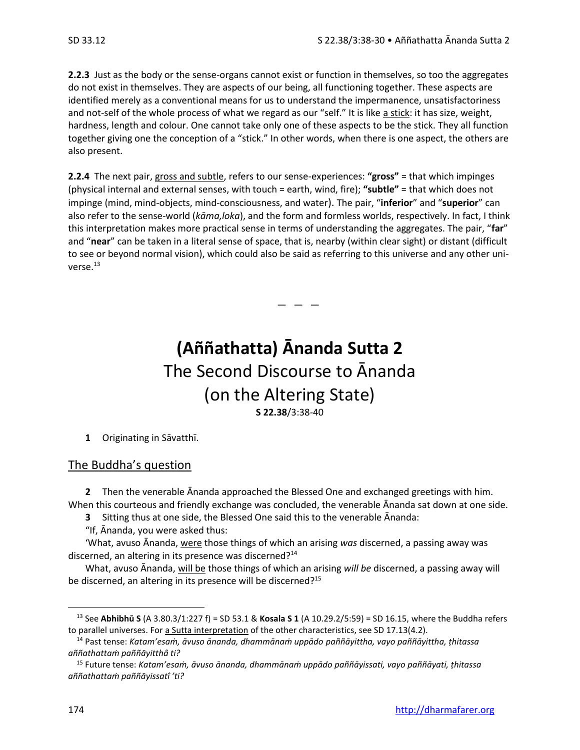**2.2.3** Just as the body or the sense-organs cannot exist or function in themselves, so too the aggregates do not exist in themselves. They are aspects of our being, all functioning together. These aspects are identified merely as a conventional means for us to understand the impermanence, unsatisfactoriness and not-self of the whole process of what we regard as our "self." It is like a stick: it has size, weight, hardness, length and colour. One cannot take only one of these aspects to be the stick. They all function together giving one the conception of a "stick." In other words, when there is one aspect, the others are also present.

**2.2.4** The next pair, gross and subtle, refers to our sense-experiences: **"gross"** = that which impinges (physical internal and external senses, with touch = earth, wind, fire); **"subtle"** = that which does not impinge (mind, mind-objects, mind-consciousness, and water). The pair, "**inferior**" and "**superior**" can also refer to the sense-world (*kāma,loka*), and the form and formless worlds, respectively. In fact, I think this interpretation makes more practical sense in terms of understanding the aggregates. The pair, "**far**" and "**near**" can be taken in a literal sense of space, that is, nearby (within clear sight) or distant (difficult to see or beyond normal vision), which could also be said as referring to this universe and any other universe.<sup>13</sup>

### **(Aññathatta) Ānanda Sutta 2** The Second Discourse to Ānanda (on the Altering State) **S 22.38**/3:38-40

 $-$ 

**1** Originating in Sāvatthī.

#### The Buddha's question

**2** Then the venerable Ānanda approached the Blessed One and exchanged greetings with him. When this courteous and friendly exchange was concluded, the venerable Ānanda sat down at one side.

**3** Sitting thus at one side, the Blessed One said this to the venerable Ānanda:

"If, Ānanda, you were asked thus:

'What, avuso Ānanda, were those things of which an arising *was* discerned, a passing away was discerned, an altering in its presence was discerned?<sup>14</sup>

What, avuso Ānanda, will be those things of which an arising *will be* discerned, a passing away will be discerned, an altering in its presence will be discerned?<sup>15</sup>

<sup>13</sup> See **Abhibhū S** (A 3.80.3/1:227 f) = SD 53.1 & **Kosala S 1** (A 10.29.2/5:59) = SD 16.15, where the Buddha refers to parallel universes. For a Sutta interpretation of the other characteristics, see SD 17.13(4.2).

<sup>14</sup> Past tense: *Katam'esaṁ, āvuso ānanda, dhammānaṁ uppādo paññāyittha, vayo paññāyittha, ṭhitassa aññathattaṁ paññāyitthâ ti?*

<sup>15</sup> Future tense: *Katam'esaṁ, āvuso ānanda, dhammānaṁ uppādo paññāyissati, vayo paññāyati, ṭhitassa aññathattaṁ paññāyissatî 'ti?*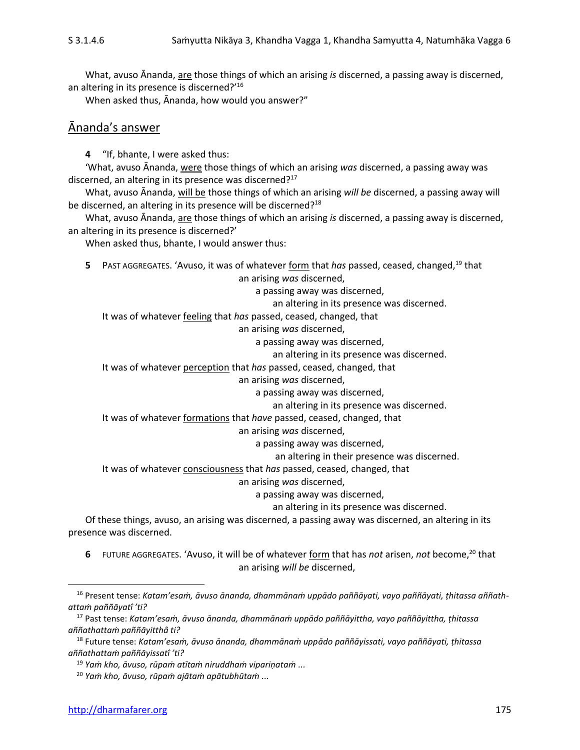What, avuso Ānanda, are those things of which an arising *is* discerned, a passing away is discerned, an altering in its presence is discerned?'<sup>16</sup>

When asked thus, Ānanda, how would you answer?"

#### Ānanda's answer

**4** "If, bhante, I were asked thus:

'What, avuso Ānanda, were those things of which an arising *was* discerned, a passing away was discerned, an altering in its presence was discerned?<sup>17</sup>

What, avuso Ānanda, will be those things of which an arising *will be* discerned, a passing away will be discerned, an altering in its presence will be discerned?<sup>18</sup>

What, avuso Ānanda, are those things of which an arising *is* discerned, a passing away is discerned, an altering in its presence is discerned?'

When asked thus, bhante, I would answer thus:

**5** PAST AGGREGATES. 'Avuso, it was of whatever form that *has* passed, ceased, changed,<sup>19</sup> that

an arising *was* discerned,

a passing away was discerned,

an altering in its presence was discerned.

It was of whatever feeling that *has* passed, ceased, changed, that

an arising *was* discerned,

a passing away was discerned,

an altering in its presence was discerned.

It was of whatever perception that *has* passed, ceased, changed, that

an arising *was* discerned,

a passing away was discerned,

an altering in its presence was discerned.

It was of whatever formations that *have* passed, ceased, changed, that

an arising *was* discerned,

a passing away was discerned,

an altering in their presence was discerned.

It was of whatever consciousness that *has* passed, ceased, changed, that

an arising *was* discerned,

a passing away was discerned,

an altering in its presence was discerned.

Of these things, avuso, an arising was discerned, a passing away was discerned, an altering in its presence was discerned.

**6** FUTURE AGGREGATES. 'Avuso, it will be of whatever form that has *not* arisen, *not* become,<sup>20</sup> that an arising *will be* discerned,

<sup>16</sup> Present tense: *Katam'esaṁ, āvuso ānanda, dhammānaṁ uppādo paññāyati, vayo paññāyati, ṭhitassa aññathattaṁ paññāyatî 'ti?*

<sup>17</sup> Past tense: *Katam'esaṁ, āvuso ānanda, dhammānaṁ uppādo paññāyittha, vayo paññāyittha, ṭhitassa aññathattaṁ paññāyitthâ ti?*

<sup>18</sup> Future tense: *Katam'esaṁ, āvuso ānanda, dhammānaṁ uppādo paññāyissati, vayo paññāyati, ṭhitassa aññathattaṁ paññāyissatî 'ti?*

<sup>19</sup> *Yaṁ kho, āvuso, rūpaṁ atītaṁ niruddhaṁ vipariṇataṁ ...*

<sup>20</sup> *Yaṁ kho, āvuso, rūpaṁ ajātaṁ apātubhūtaṁ ...*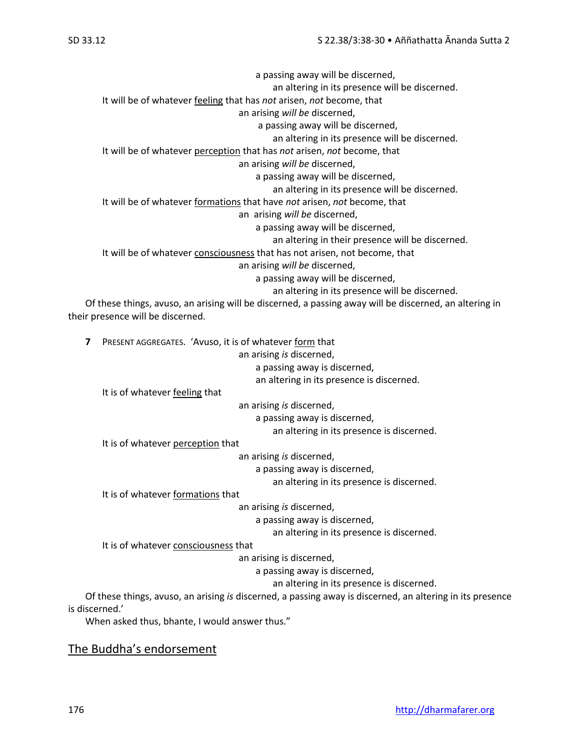a passing away will be discerned, an altering in its presence will be discerned. It will be of whatever feeling that has *not* arisen, *not* become, that an arising *will be* discerned, a passing away will be discerned, an altering in its presence will be discerned. It will be of whatever perception that has *not* arisen, *not* become, that an arising *will be* discerned, a passing away will be discerned, an altering in its presence will be discerned. It will be of whatever formations that have *not* arisen, *not* become, that an arising *will be* discerned, a passing away will be discerned, an altering in their presence will be discerned. It will be of whatever consciousness that has not arisen, not become, that an arising *will be* discerned, a passing away will be discerned, an altering in its presence will be discerned. Of these things, avuso, an arising will be discerned, a passing away will be discerned, an altering in

their presence will be discerned.

| 7 | PRESENT AGGREGATES. 'Avuso, it is of whatever form that                                                   |
|---|-----------------------------------------------------------------------------------------------------------|
|   | an arising is discerned,                                                                                  |
|   | a passing away is discerned,                                                                              |
|   | an altering in its presence is discerned.                                                                 |
|   | It is of whatever feeling that                                                                            |
|   | an arising is discerned,                                                                                  |
|   | a passing away is discerned,                                                                              |
|   | an altering in its presence is discerned.                                                                 |
|   | It is of whatever perception that                                                                         |
|   | an arising is discerned,                                                                                  |
|   | a passing away is discerned,                                                                              |
|   | an altering in its presence is discerned.                                                                 |
|   | It is of whatever formations that                                                                         |
|   | an arising is discerned,                                                                                  |
|   | a passing away is discerned,                                                                              |
|   | an altering in its presence is discerned.                                                                 |
|   | It is of whatever consciousness that                                                                      |
|   | an arising is discerned,                                                                                  |
|   | a passing away is discerned,                                                                              |
|   | an altering in its presence is discerned.                                                                 |
|   | Of these things, avuso, an arising is discerned, a passing away is discerned, an altering in its presence |

is discerned.'

When asked thus, bhante, I would answer thus."

#### The Buddha's endorsement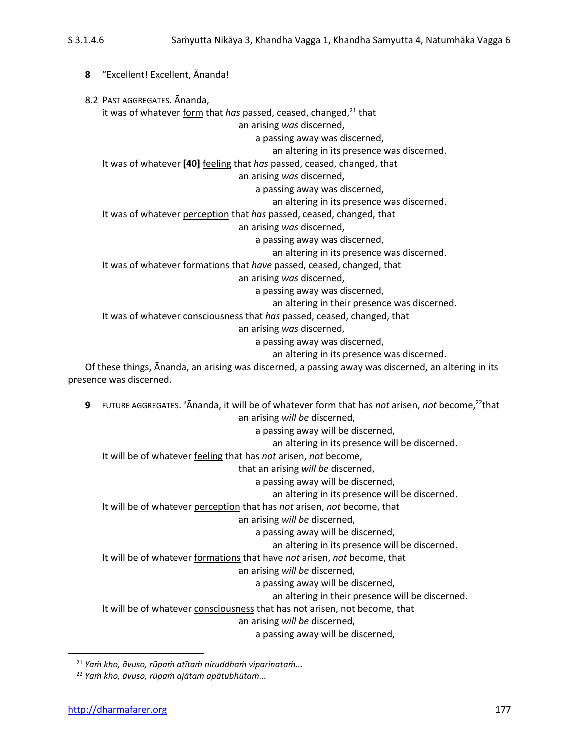**8** "Excellent! Excellent, Ānanda! 8.2 PAST AGGREGATES. Ānanda, it was of whatever form that *has* passed, ceased, changed,<sup>21</sup> that an arising *was* discerned, a passing away was discerned, an altering in its presence was discerned. It was of whatever **[40]** feeling that *has* passed, ceased, changed, that an arising *was* discerned, a passing away was discerned, an altering in its presence was discerned. It was of whatever perception that *has* passed, ceased, changed, that an arising *was* discerned, a passing away was discerned, an altering in its presence was discerned. It was of whatever formations that *have* passed, ceased, changed, that an arising *was* discerned, a passing away was discerned, an altering in their presence was discerned. It was of whatever consciousness that *has* passed, ceased, changed, that an arising *was* discerned, a passing away was discerned, an altering in its presence was discerned.

Of these things, Ānanda, an arising was discerned, a passing away was discerned, an altering in its presence was discerned.

**9** FUTURE AGGREGATES. 'Ananda, it will be of whatever form that has *not* arisen, *not* become,<sup>22</sup>that an arising *will be* discerned, a passing away will be discerned, an altering in its presence will be discerned. It will be of whatever feeling that has *not* arisen, *not* become, that an arising *will be* discerned, a passing away will be discerned, an altering in its presence will be discerned. It will be of whatever perception that has *not* arisen, *not* become, that an arising *will be* discerned, a passing away will be discerned, an altering in its presence will be discerned. It will be of whatever formations that have *not* arisen, *not* become, that an arising *will be* discerned, a passing away will be discerned, an altering in their presence will be discerned. It will be of whatever consciousness that has not arisen, not become, that an arising *will be* discerned, a passing away will be discerned,

<sup>21</sup> *Yaṁ kho, āvuso, rūpaṁ atītaṁ niruddhaṁ vipariṇataṁ...*

<sup>22</sup> *Yaṁ kho, āvuso, rūpaṁ ajātaṁ apātubhūtaṁ...*